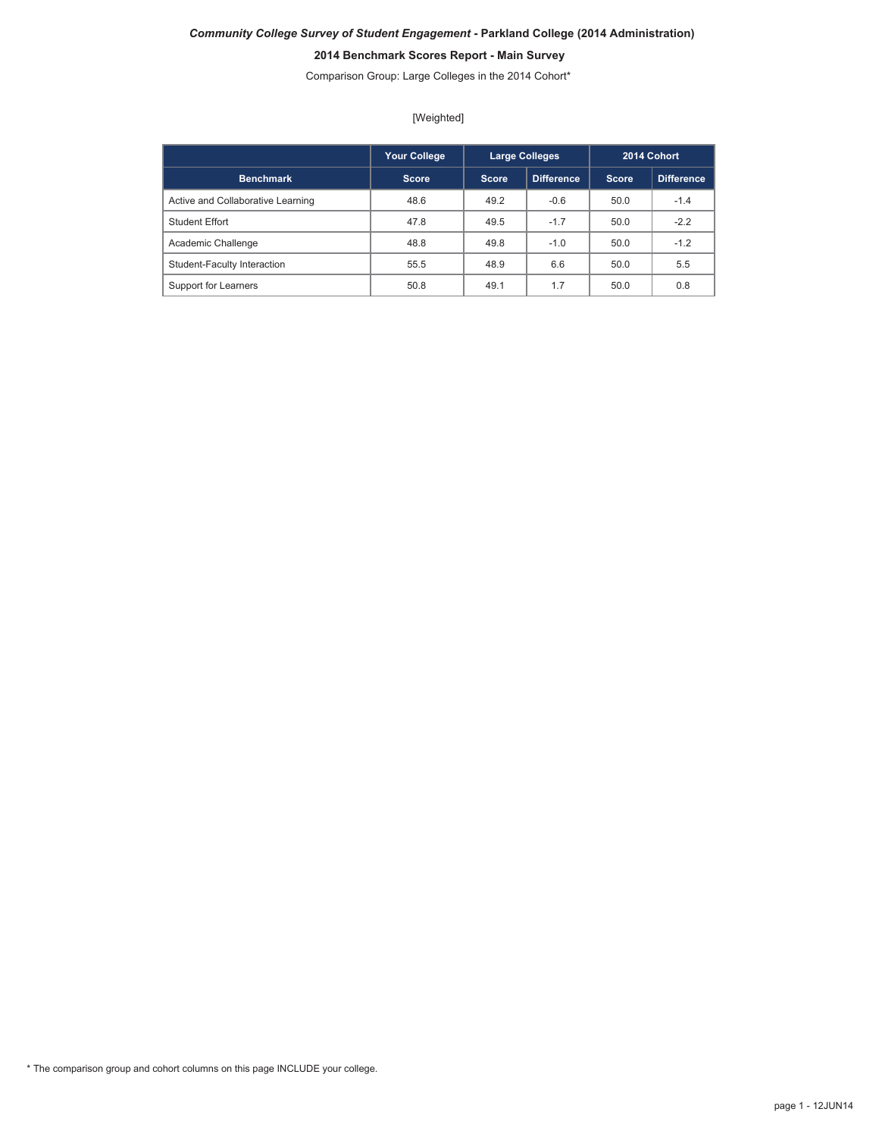# *Community College Survey of Student Engagement* **- Parkland College (2014 Administration) 2014 Benchmark Scores Report - Main Survey**

Comparison Group: Large Colleges in the 2014 Cohort\*

[Weighted]

|                                   | <b>Your College</b> |       | <b>Large Colleges</b> |              | 2014 Cohort |
|-----------------------------------|---------------------|-------|-----------------------|--------------|-------------|
| <b>Benchmark</b>                  | <b>Score</b>        | Score | Difference.           | <b>Score</b> | Difference. |
| Active and Collaborative Learning | 48.6                | 49.2  | $-0.6$                | 50.0         | $-1.4$      |
| <b>Student Effort</b>             | 47.8                | 49.5  | $-1.7$                | 50.0         | $-2.2$      |
| Academic Challenge                | 48.8                | 49.8  | $-1.0$                | 50.0         | $-1.2$      |
| Student-Faculty Interaction       | 55.5                | 48.9  | 6.6                   | 50.0         | 5.5         |
| Support for Learners              | 50.8                | 49.1  | 1.7                   | 50.0         | 0.8         |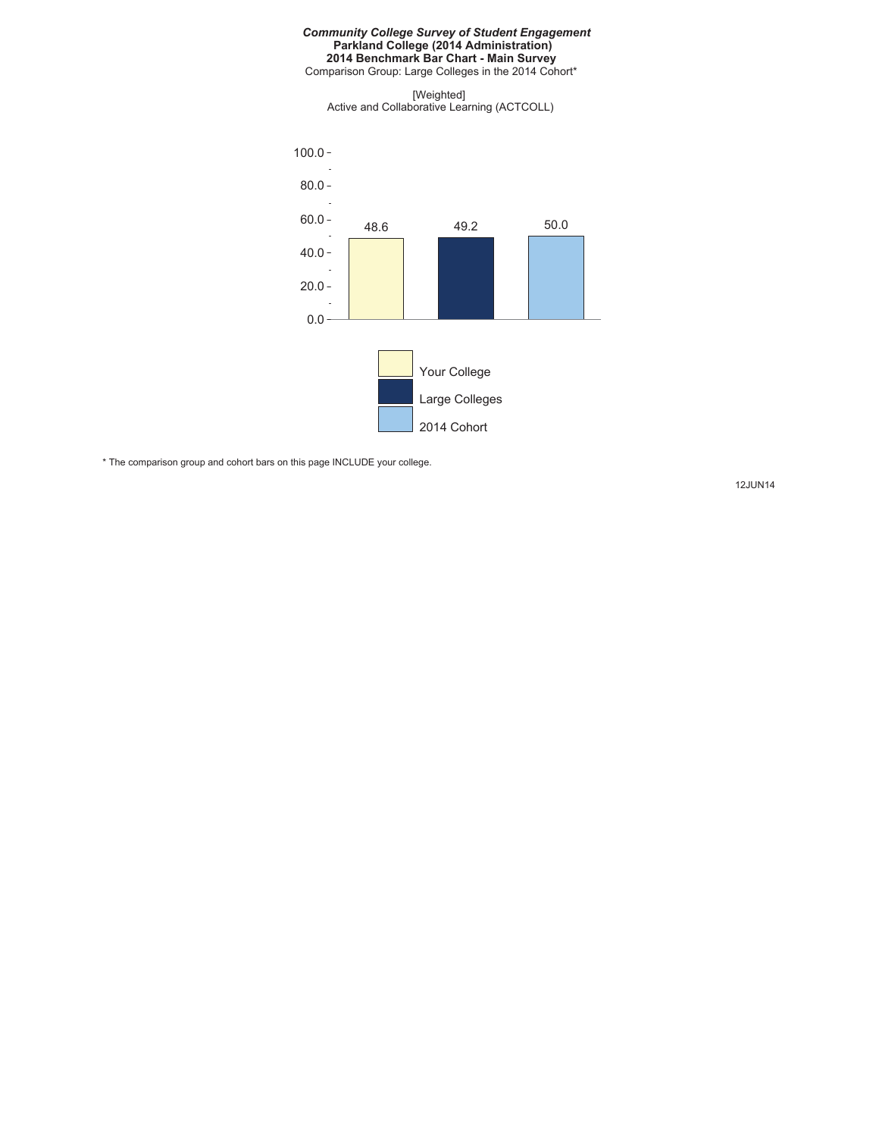#### *Community College Survey of Student Engagement* **Parkland College (2014 Administration) 2014 Benchmark Bar Chart - Main Survey** Comparison Group: Large Colleges in the 2014 Cohort\*

[Weighted] Active and Collaborative Learning (ACTCOLL)



\* The comparison group and cohort bars on this page INCLUDE your college.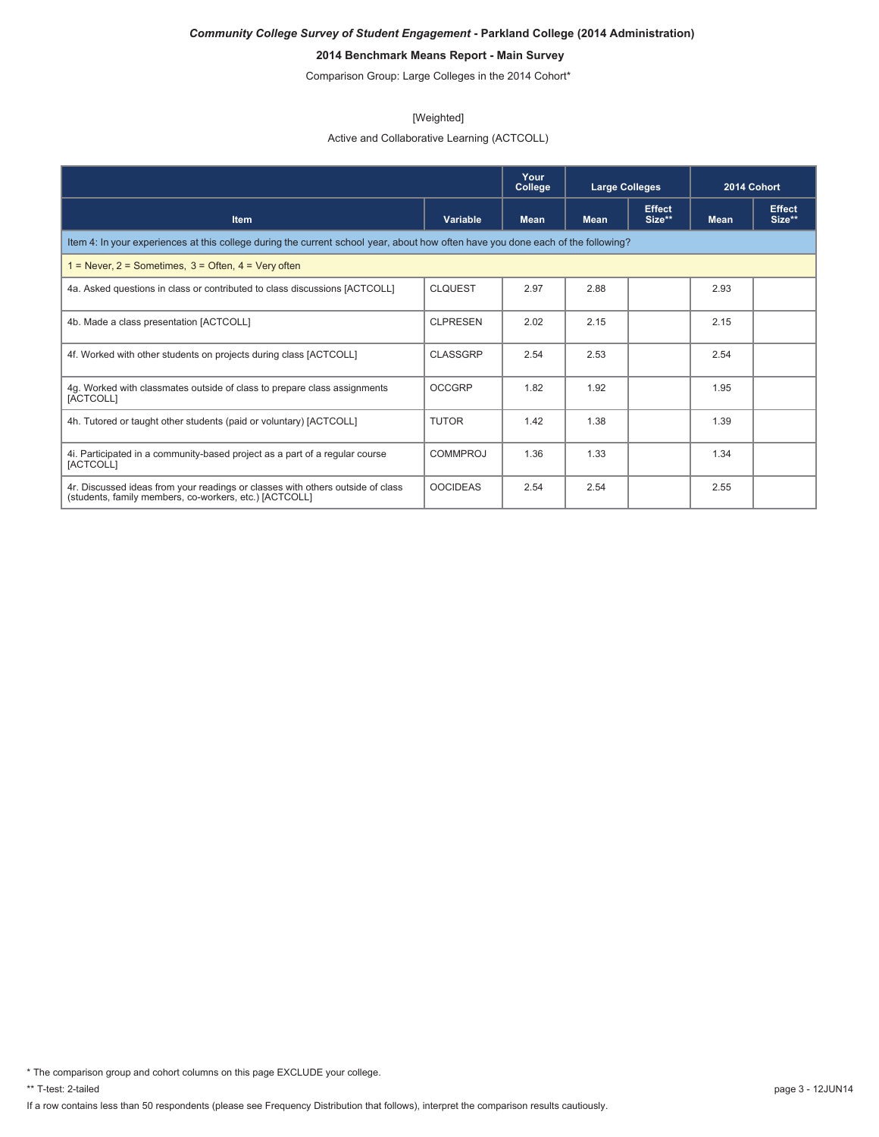# **2014 Benchmark Means Report - Main Survey**

Comparison Group: Large Colleges in the 2014 Cohort\*

#### [Weighted]

Active and Collaborative Learning (ACTCOLL)

|                                                                                                                                          |                 | Your<br>College | <b>Large Colleges</b> |                         | 2014 Cohort |                         |  |
|------------------------------------------------------------------------------------------------------------------------------------------|-----------------|-----------------|-----------------------|-------------------------|-------------|-------------------------|--|
| <b>Item</b>                                                                                                                              | Variable        | <b>Mean</b>     | <b>Mean</b>           | <b>Effect</b><br>Size** | <b>Mean</b> | <b>Effect</b><br>Size** |  |
| Item 4: In your experiences at this college during the current school year, about how often have you done each of the following?         |                 |                 |                       |                         |             |                         |  |
| = Never, $2$ = Sometimes, $3$ = Often, $4$ = Very often                                                                                  |                 |                 |                       |                         |             |                         |  |
| 4a. Asked questions in class or contributed to class discussions [ACTCOLL]                                                               | <b>CLOUEST</b>  | 2.97            | 2.88                  |                         | 2.93        |                         |  |
| 4b. Made a class presentation [ACTCOLL]                                                                                                  | <b>CLPRESEN</b> | 2.02            | 2.15                  |                         | 2.15        |                         |  |
| 4f. Worked with other students on projects during class [ACTCOLL]                                                                        | CLASSGRP        | 2.54            | 2.53                  |                         | 2.54        |                         |  |
| 4g. Worked with classmates outside of class to prepare class assignments<br>[ACTCOLL]                                                    | <b>OCCGRP</b>   | 1.82            | 1.92                  |                         | 1.95        |                         |  |
| 4h. Tutored or taught other students (paid or voluntary) [ACTCOLL]                                                                       | <b>TUTOR</b>    | 1.42            | 1.38                  |                         | 1.39        |                         |  |
| 4. Participated in a community-based project as a part of a regular course<br>[ACTCOLL]                                                  | <b>COMMPROJ</b> | 1.36            | 1.33                  |                         | 1.34        |                         |  |
| 4r. Discussed ideas from your readings or classes with others outside of class<br>(students, family members, co-workers, etc.) [ACTCOLL] | <b>OOCIDEAS</b> | 2.54            | 2.54                  |                         | 2.55        |                         |  |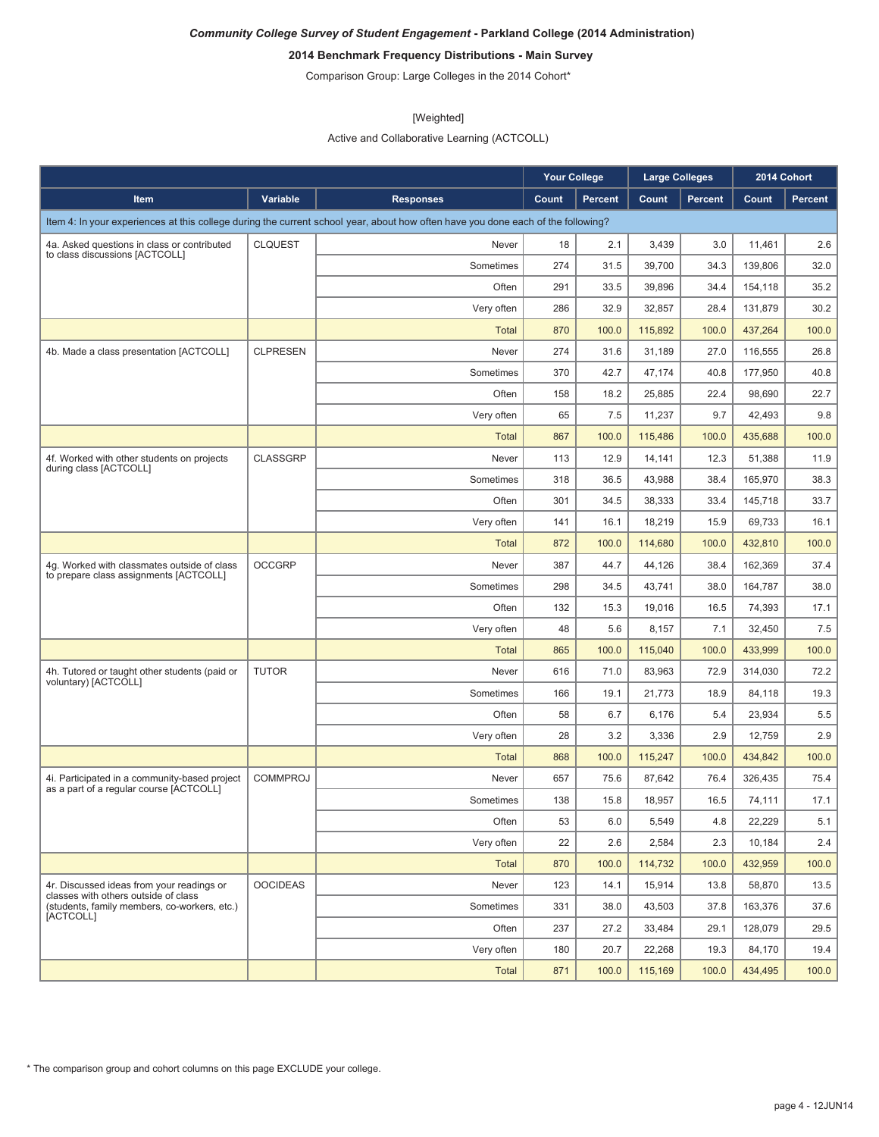# **2014 Benchmark Frequency Distributions - Main Survey**

Comparison Group: Large Colleges in the 2014 Cohort\*

#### [Weighted]

Active and Collaborative Learning (ACTCOLL)

|                                                                                          |                 |                                                                                                                                  | <b>Your College</b> |                | <b>Large Colleges</b> |         |         | 2014 Cohort |
|------------------------------------------------------------------------------------------|-----------------|----------------------------------------------------------------------------------------------------------------------------------|---------------------|----------------|-----------------------|---------|---------|-------------|
| Item                                                                                     | Variable        | <b>Responses</b>                                                                                                                 | Count               | <b>Percent</b> | Count                 | Percent | Count   | Percent     |
|                                                                                          |                 | Item 4: In your experiences at this college during the current school year, about how often have you done each of the following? |                     |                |                       |         |         |             |
| 4a. Asked questions in class or contributed                                              | <b>CLQUEST</b>  | Never                                                                                                                            | 18                  | 2.1            | 3,439                 | 3.0     | 11,461  | 2.6         |
| to class discussions [ACTCOLL]                                                           |                 | Sometimes                                                                                                                        | 274                 | 31.5           | 39,700                | 34.3    | 139,806 | 32.0        |
|                                                                                          |                 | Often                                                                                                                            | 291                 | 33.5           | 39,896                | 34.4    | 154,118 | 35.2        |
|                                                                                          |                 | Very often                                                                                                                       | 286                 | 32.9           | 32,857                | 28.4    | 131,879 | 30.2        |
|                                                                                          |                 | <b>Total</b>                                                                                                                     | 870                 | 100.0          | 115,892               | 100.0   | 437,264 | 100.0       |
| 4b. Made a class presentation [ACTCOLL]                                                  | <b>CLPRESEN</b> | Never                                                                                                                            | 274                 | 31.6           | 31,189                | 27.0    | 116,555 | 26.8        |
|                                                                                          |                 | Sometimes                                                                                                                        | 370                 | 42.7           | 47,174                | 40.8    | 177,950 | 40.8        |
|                                                                                          |                 | Often                                                                                                                            | 158                 | 18.2           | 25,885                | 22.4    | 98,690  | 22.7        |
|                                                                                          |                 | Very often                                                                                                                       | 65                  | 7.5            | 11,237                | 9.7     | 42,493  | 9.8         |
|                                                                                          |                 | <b>Total</b>                                                                                                                     | 867                 | 100.0          | 115,486               | 100.0   | 435,688 | 100.0       |
| 4f. Worked with other students on projects<br>during class [ACTCOLL]                     | <b>CLASSGRP</b> | Never                                                                                                                            | 113                 | 12.9           | 14,141                | 12.3    | 51,388  | 11.9        |
|                                                                                          |                 | Sometimes                                                                                                                        | 318                 | 36.5           | 43,988                | 38.4    | 165,970 | 38.3        |
|                                                                                          |                 | Often                                                                                                                            | 301                 | 34.5           | 38,333                | 33.4    | 145,718 | 33.7        |
|                                                                                          |                 | Very often                                                                                                                       | 141                 | 16.1           | 18,219                | 15.9    | 69,733  | 16.1        |
|                                                                                          |                 | <b>Total</b>                                                                                                                     | 872                 | 100.0          | 114,680               | 100.0   | 432,810 | 100.0       |
| 4q. Worked with classmates outside of class<br>to prepare class assignments [ACTCOLL]    | <b>OCCGRP</b>   | Never                                                                                                                            | 387                 | 44.7           | 44,126                | 38.4    | 162,369 | 37.4        |
|                                                                                          |                 | Sometimes                                                                                                                        | 298                 | 34.5           | 43,741                | 38.0    | 164,787 | 38.0        |
|                                                                                          |                 | Often                                                                                                                            | 132                 | 15.3           | 19,016                | 16.5    | 74,393  | 17.1        |
|                                                                                          |                 | Very often                                                                                                                       | 48                  | 5.6            | 8,157                 | 7.1     | 32,450  | 7.5         |
|                                                                                          |                 | <b>Total</b>                                                                                                                     | 865                 | 100.0          | 115,040               | 100.0   | 433,999 | 100.0       |
| 4h. Tutored or taught other students (paid or<br>voluntary) [ACTCOLL]                    | <b>TUTOR</b>    | Never                                                                                                                            | 616                 | 71.0           | 83,963                | 72.9    | 314,030 | 72.2        |
|                                                                                          |                 | Sometimes                                                                                                                        | 166                 | 19.1           | 21,773                | 18.9    | 84,118  | 19.3        |
|                                                                                          |                 | Often                                                                                                                            | 58                  | 6.7            | 6,176                 | 5.4     | 23,934  | 5.5         |
|                                                                                          |                 | Very often                                                                                                                       | 28                  | 3.2            | 3,336                 | 2.9     | 12,759  | 2.9         |
|                                                                                          |                 | <b>Total</b>                                                                                                                     | 868                 | 100.0          | 115,247               | 100.0   | 434,842 | 100.0       |
| 4i. Participated in a community-based project<br>as a part of a regular course [ACTCOLL] | <b>COMMPROJ</b> | Never                                                                                                                            | 657                 | 75.6           | 87,642                | 76.4    | 326.435 | 75.4        |
|                                                                                          |                 | Sometimes                                                                                                                        | 138                 | 15.8           | 18,957                | 16.5    | 74,111  | 17.1        |
|                                                                                          |                 | Often                                                                                                                            | 53                  | 6.0            | 5,549                 | 4.8     | 22,229  | 5.1         |
|                                                                                          |                 | Very often                                                                                                                       | 22                  | 2.6            | 2,584                 | 2.3     | 10,184  | 2.4         |
|                                                                                          |                 | <b>Total</b>                                                                                                                     | 870                 | 100.0          | 114,732               | 100.0   | 432,959 | 100.0       |
| 4r. Discussed ideas from your readings or<br>classes with others outside of class        | <b>OOCIDEAS</b> | Never                                                                                                                            | 123                 | 14.1           | 15,914                | 13.8    | 58,870  | 13.5        |
| (students, family members, co-workers, etc.)<br>[ACTCOLL]                                |                 | Sometimes                                                                                                                        | 331                 | 38.0           | 43,503                | 37.8    | 163,376 | 37.6        |
|                                                                                          |                 | Often                                                                                                                            | 237                 | 27.2           | 33,484                | 29.1    | 128,079 | 29.5        |
|                                                                                          |                 | Very often                                                                                                                       | 180                 | 20.7           | 22,268                | 19.3    | 84,170  | 19.4        |
|                                                                                          |                 | <b>Total</b>                                                                                                                     | 871                 | 100.0          | 115,169               | 100.0   | 434,495 | 100.0       |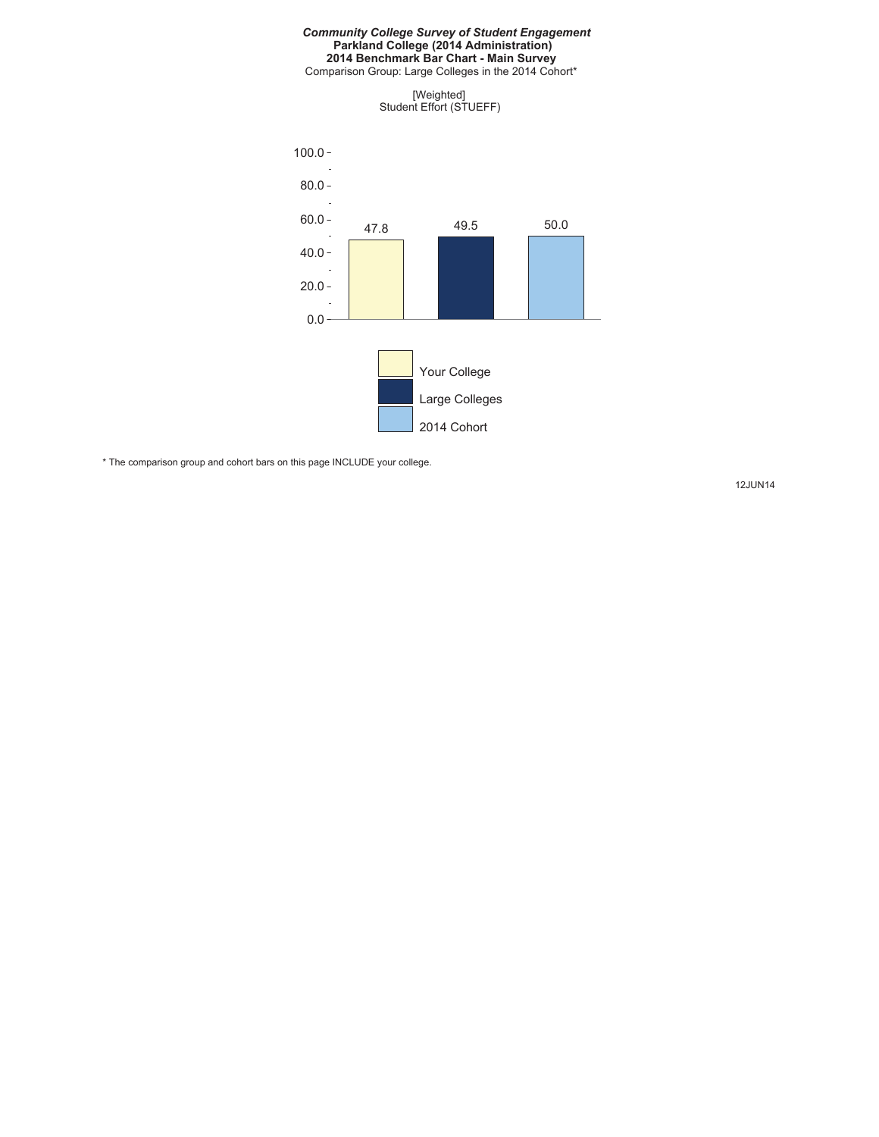#### *Community College Survey of Student Engagement* **Parkland College (2014 Administration) 2014 Benchmark Bar Chart - Main Survey**

Comparison Group: Large Colleges in the 2014 Cohort\*

[Weighted] Student Effort (STUEFF)



\* The comparison group and cohort bars on this page INCLUDE your college.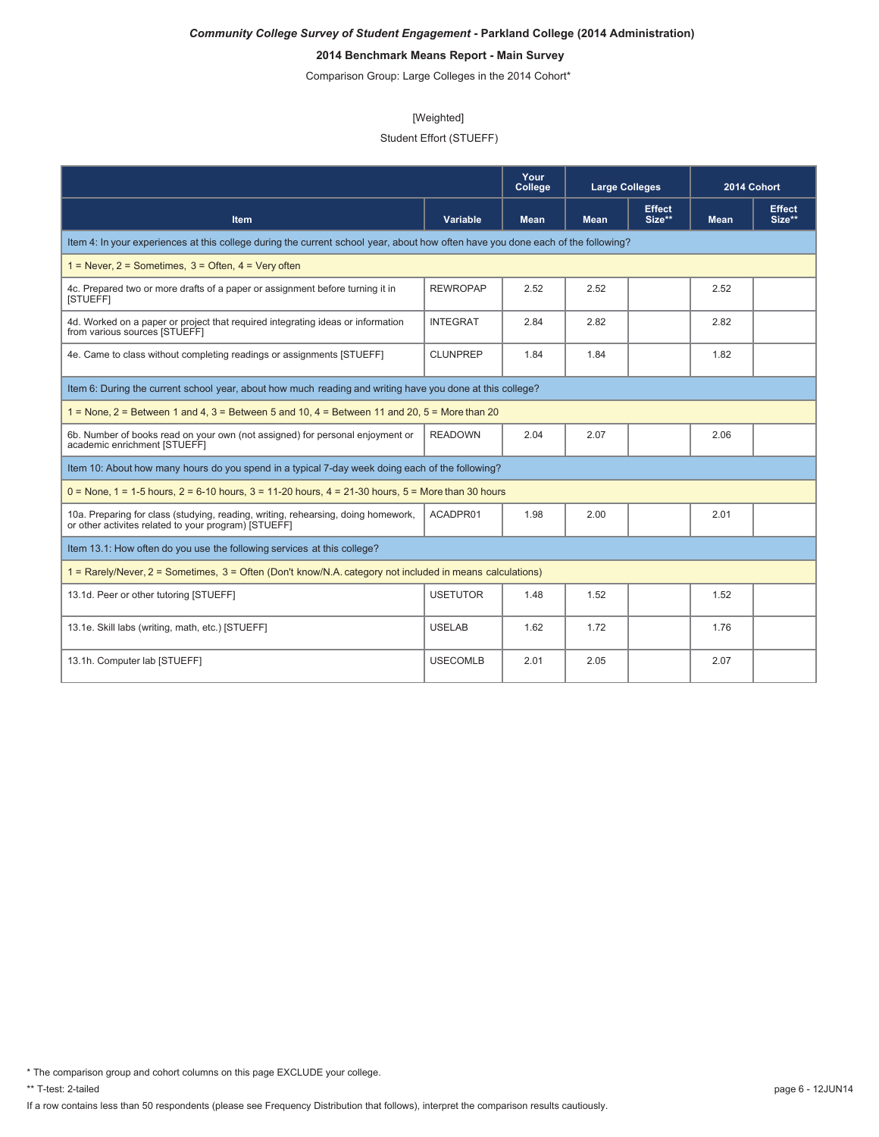# **2014 Benchmark Means Report - Main Survey**

Comparison Group: Large Colleges in the 2014 Cohort\*

#### [Weighted]

## Student Effort (STUEFF)

|                                                                                                                                           |                 | Your<br>College | <b>Large Colleges</b> |                         | 2014 Cohort |                         |
|-------------------------------------------------------------------------------------------------------------------------------------------|-----------------|-----------------|-----------------------|-------------------------|-------------|-------------------------|
| <b>Item</b>                                                                                                                               | <b>Variable</b> | <b>Mean</b>     | <b>Mean</b>           | <b>Effect</b><br>Size** | <b>Mean</b> | <b>Effect</b><br>Size** |
| Item 4: In your experiences at this college during the current school year, about how often have you done each of the following?          |                 |                 |                       |                         |             |                         |
| $1 =$ Never, $2 =$ Sometimes, $3 =$ Often, $4 =$ Very often                                                                               |                 |                 |                       |                         |             |                         |
| 4c. Prepared two or more drafts of a paper or assignment before turning it in<br>[STUEFF]                                                 | <b>REWROPAP</b> | 2.52            | 2.52                  |                         | 2.52        |                         |
| 4d. Worked on a paper or project that required integrating ideas or information<br>from various sources [STUEFF]                          | <b>INTEGRAT</b> | 2.84            | 2.82                  |                         | 2.82        |                         |
| 4e. Came to class without completing readings or assignments [STUEFF]                                                                     | <b>CLUNPREP</b> | 1.84            | 1.84                  |                         | 1.82        |                         |
| Item 6: During the current school year, about how much reading and writing have you done at this college?                                 |                 |                 |                       |                         |             |                         |
| $1 =$ None, $2 =$ Between 1 and 4, $3 =$ Between 5 and 10, $4 =$ Between 11 and 20, $5 =$ More than 20                                    |                 |                 |                       |                         |             |                         |
| 6b. Number of books read on your own (not assigned) for personal enjoyment or<br>academic enrichment [STUEFF]                             | <b>READOWN</b>  | 2.04            | 2.07                  |                         | 2.06        |                         |
| Item 10: About how many hours do you spend in a typical 7-day week doing each of the following?                                           |                 |                 |                       |                         |             |                         |
| $0 =$ None, 1 = 1-5 hours, 2 = 6-10 hours, 3 = 11-20 hours, 4 = 21-30 hours, 5 = More than 30 hours                                       |                 |                 |                       |                         |             |                         |
| 10a. Preparing for class (studying, reading, writing, rehearsing, doing homework,<br>or other activites related to your program) [STUEFF] | ACADPR01        | 1.98            | 2.00                  |                         | 2.01        |                         |
| Item 13.1: How often do you use the following services at this college?                                                                   |                 |                 |                       |                         |             |                         |
| 1 = Rarely/Never, 2 = Sometimes, 3 = Often (Don't know/N.A. category not included in means calculations)                                  |                 |                 |                       |                         |             |                         |
| 13.1d. Peer or other tutoring [STUEFF]                                                                                                    | <b>USETUTOR</b> | 1.48            | 1.52                  |                         | 1.52        |                         |
| 13.1e. Skill labs (writing, math, etc.) [STUEFF]                                                                                          | <b>USELAB</b>   | 1.62            | 1.72                  |                         | 1.76        |                         |
| 13.1h. Computer lab [STUEFF]                                                                                                              | <b>USECOMLB</b> | 2.01            | 2.05                  |                         | 2.07        |                         |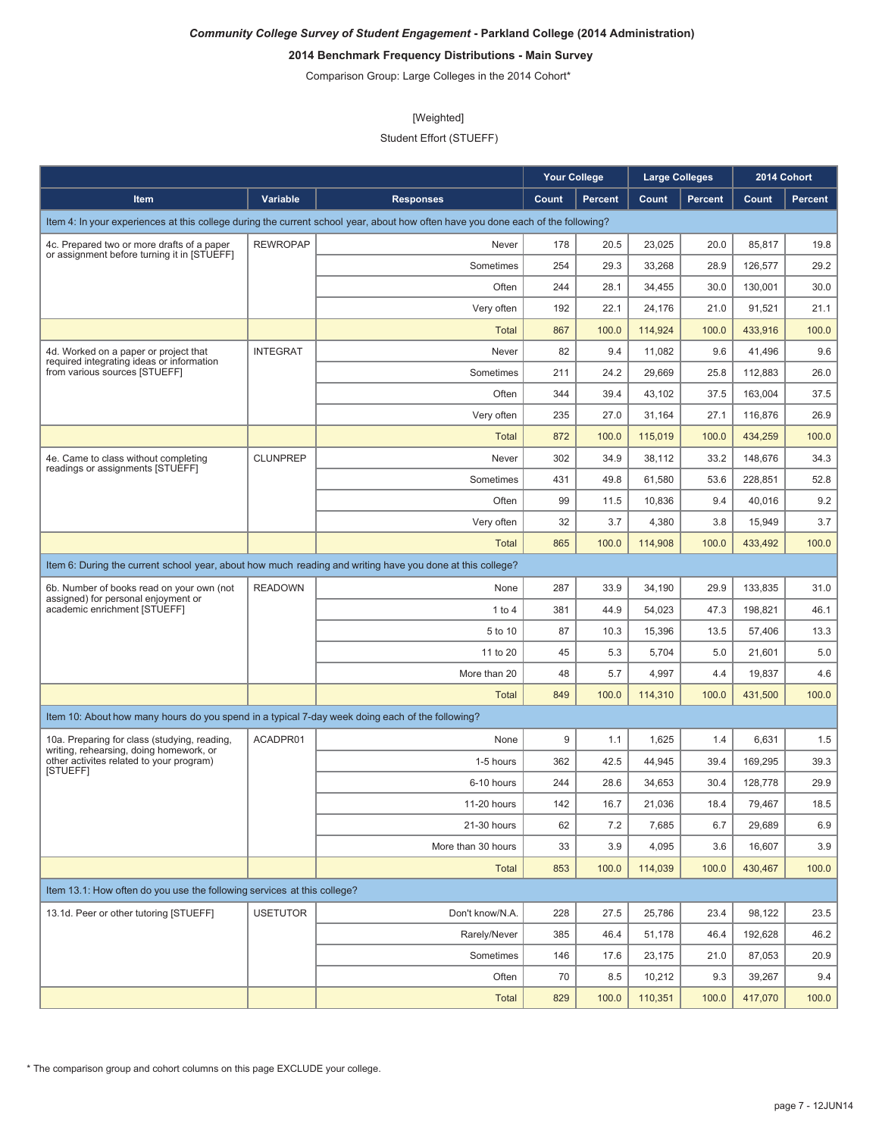# **2014 Benchmark Frequency Distributions - Main Survey**

Comparison Group: Large Colleges in the 2014 Cohort\*

#### [Weighted]

Student Effort (STUEFF)

|                                                                                                 |                 |                                                                                                                                  | <b>Your College</b> |                | <b>Large Colleges</b> |                |         | 2014 Cohort    |
|-------------------------------------------------------------------------------------------------|-----------------|----------------------------------------------------------------------------------------------------------------------------------|---------------------|----------------|-----------------------|----------------|---------|----------------|
| Item                                                                                            | Variable        | <b>Responses</b>                                                                                                                 | Count               | <b>Percent</b> | Count                 | <b>Percent</b> | Count   | <b>Percent</b> |
|                                                                                                 |                 | Item 4: In your experiences at this college during the current school year, about how often have you done each of the following? |                     |                |                       |                |         |                |
| 4c. Prepared two or more drafts of a paper                                                      | <b>REWROPAP</b> | Never                                                                                                                            | 178                 | 20.5           | 23,025                | 20.0           | 85,817  | 19.8           |
| or assignment before turning it in [STUEFF]                                                     |                 | Sometimes                                                                                                                        | 254                 | 29.3           | 33,268                | 28.9           | 126,577 | 29.2           |
|                                                                                                 |                 | Often                                                                                                                            | 244                 | 28.1           | 34,455                | 30.0           | 130,001 | 30.0           |
|                                                                                                 |                 | Very often                                                                                                                       | 192                 | 22.1           | 24,176                | 21.0           | 91,521  | 21.1           |
|                                                                                                 |                 | <b>Total</b>                                                                                                                     | 867                 | 100.0          | 114,924               | 100.0          | 433,916 | 100.0          |
| 4d. Worked on a paper or project that<br>required integrating ideas or information              | <b>INTEGRAT</b> | Never                                                                                                                            | 82                  | 9.4            | 11,082                | 9.6            | 41,496  | 9.6            |
| from various sources [STUEFF]                                                                   |                 | Sometimes                                                                                                                        | 211                 | 24.2           | 29,669                | 25.8           | 112,883 | 26.0           |
|                                                                                                 |                 | Often                                                                                                                            | 344                 | 39.4           | 43,102                | 37.5           | 163,004 | 37.5           |
|                                                                                                 |                 | Very often                                                                                                                       | 235                 | 27.0           | 31,164                | 27.1           | 116,876 | 26.9           |
|                                                                                                 |                 | <b>Total</b>                                                                                                                     | 872                 | 100.0          | 115,019               | 100.0          | 434,259 | 100.0          |
| 4e. Came to class without completing<br>readings or assignments [STUEFF]                        | <b>CLUNPREP</b> | Never                                                                                                                            | 302                 | 34.9           | 38,112                | 33.2           | 148,676 | 34.3           |
|                                                                                                 |                 | Sometimes                                                                                                                        | 431                 | 49.8           | 61,580                | 53.6           | 228,851 | 52.8           |
|                                                                                                 |                 | Often                                                                                                                            | 99                  | 11.5           | 10,836                | 9.4            | 40,016  | 9.2            |
|                                                                                                 |                 | Very often                                                                                                                       | 32                  | 3.7            | 4,380                 | 3.8            | 15,949  | 3.7            |
|                                                                                                 |                 | <b>Total</b>                                                                                                                     | 865                 | 100.0          | 114,908               | 100.0          | 433.492 | 100.0          |
|                                                                                                 |                 | Item 6: During the current school year, about how much reading and writing have you done at this college?                        |                     |                |                       |                |         |                |
| 6b. Number of books read on your own (not                                                       | <b>READOWN</b>  | None                                                                                                                             | 287                 | 33.9           | 34,190                | 29.9           | 133,835 | 31.0           |
| assigned) for personal enjoyment or<br>academic enrichment [STUEFF]                             |                 | 1 to 4                                                                                                                           | 381                 | 44.9           | 54,023                | 47.3           | 198,821 | 46.1           |
|                                                                                                 |                 | 5 to 10                                                                                                                          | 87                  | 10.3           | 15,396                | 13.5           | 57,406  | 13.3           |
|                                                                                                 |                 | 11 to 20                                                                                                                         | 45                  | 5.3            | 5,704                 | 5.0            | 21,601  | 5.0            |
|                                                                                                 |                 | More than 20                                                                                                                     | 48                  | 5.7            | 4,997                 | 4.4            | 19,837  | 4.6            |
|                                                                                                 |                 | Total                                                                                                                            | 849                 | 100.0          | 114,310               | 100.0          | 431,500 | 100.0          |
| Item 10: About how many hours do you spend in a typical 7-day week doing each of the following? |                 |                                                                                                                                  |                     |                |                       |                |         |                |
| 10a. Preparing for class (studying, reading,<br>writing, rehearsing, doing homework, or         | ACADPR01        | None                                                                                                                             | 9                   | 1.1            | 1,625                 | 1.4            | 6,631   | 1.5            |
| other activites related to your program)                                                        |                 | 1-5 hours                                                                                                                        | 362                 | 42.5           | 44,945                | 39.4           | 169,295 | 39.3           |
| [STUEFF]                                                                                        |                 | 6-10 hours                                                                                                                       | 244                 | 28.6           | 34,653                | 30.4           | 128,778 | 29.9           |
|                                                                                                 |                 | 11-20 hours                                                                                                                      | 142                 | 16.7           | 21,036                | 18.4           | 79,467  | 18.5           |
|                                                                                                 |                 | 21-30 hours                                                                                                                      | 62                  | 7.2            | 7,685                 | 6.7            | 29,689  | 6.9            |
|                                                                                                 |                 | More than 30 hours                                                                                                               | 33                  | 3.9            | 4,095                 | 3.6            | 16,607  | 3.9            |
|                                                                                                 |                 | Total                                                                                                                            | 853                 | 100.0          | 114,039               | 100.0          | 430,467 | 100.0          |
| Item 13.1: How often do you use the following services at this college?                         |                 |                                                                                                                                  |                     |                |                       |                |         |                |
| 13.1d. Peer or other tutoring [STUEFF]                                                          | <b>USETUTOR</b> | Don't know/N.A.                                                                                                                  | 228                 | 27.5           | 25,786                | 23.4           | 98,122  | 23.5           |
|                                                                                                 |                 | Rarely/Never                                                                                                                     | 385                 | 46.4           | 51,178                | 46.4           | 192,628 | 46.2           |
|                                                                                                 |                 | Sometimes                                                                                                                        | 146                 | 17.6           | 23,175                | 21.0           | 87,053  | 20.9           |
|                                                                                                 |                 | Often                                                                                                                            | 70                  | 8.5            | 10,212                | 9.3            | 39,267  | 9.4            |
|                                                                                                 |                 | Total                                                                                                                            | 829                 | 100.0          | 110,351               | 100.0          | 417,070 | 100.0          |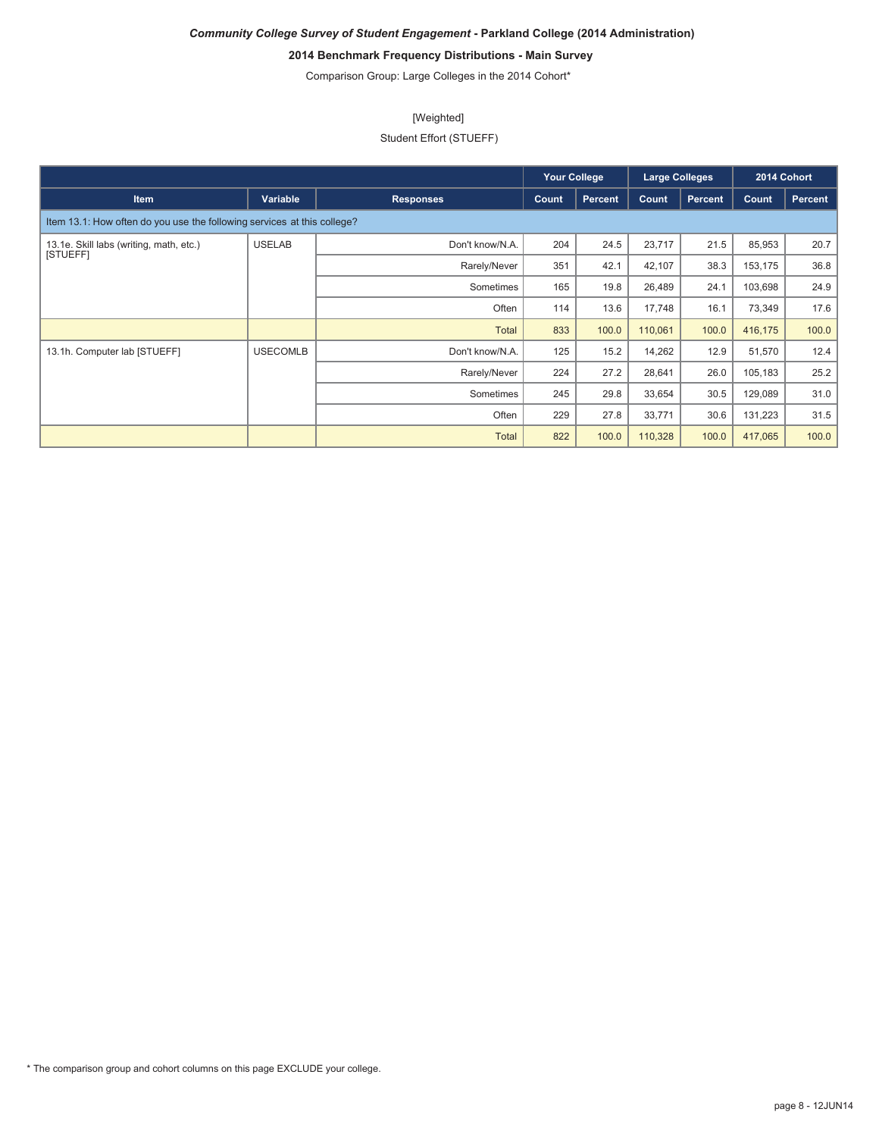# **2014 Benchmark Frequency Distributions - Main Survey**

Comparison Group: Large Colleges in the 2014 Cohort\*

## [Weighted]

## Student Effort (STUEFF)

|                                                                         |                 |                  |       | <b>Your College</b> | <b>Large Colleges</b> |         |         | 2014 Cohort |
|-------------------------------------------------------------------------|-----------------|------------------|-------|---------------------|-----------------------|---------|---------|-------------|
| <b>Item</b>                                                             | Variable        | <b>Responses</b> | Count | <b>Percent</b>      | Count                 | Percent | Count   | Percent     |
| Item 13.1: How often do you use the following services at this college? |                 |                  |       |                     |                       |         |         |             |
| 13.1e. Skill labs (writing, math, etc.)                                 | <b>USELAB</b>   | Don't know/N.A.  | 204   | 24.5                | 23,717                | 21.5    | 85,953  | 20.7        |
| [STUEFF]                                                                |                 | Rarely/Never     | 351   | 42.1                | 42,107                | 38.3    | 153,175 | 36.8        |
|                                                                         |                 | Sometimes        | 165   | 19.8                | 26,489                | 24.1    | 103,698 | 24.9        |
|                                                                         |                 | Often            | 114   | 13.6                | 17,748                | 16.1    | 73,349  | 17.6        |
|                                                                         |                 | Total            | 833   | 100.0               | 110,061               | 100.0   | 416,175 | 100.0       |
| 13.1h. Computer lab [STUEFF]                                            | <b>USECOMLB</b> | Don't know/N.A.  | 125   | 15.2                | 14,262                | 12.9    | 51,570  | 12.4        |
|                                                                         |                 | Rarely/Never     | 224   | 27.2                | 28,641                | 26.0    | 105,183 | 25.2        |
|                                                                         |                 | Sometimes        | 245   | 29.8                | 33,654                | 30.5    | 129,089 | 31.0        |
|                                                                         |                 | Often            | 229   | 27.8                | 33,771                | 30.6    | 131,223 | 31.5        |
|                                                                         |                 | <b>Total</b>     | 822   | 100.0               | 110,328               | 100.0   | 417,065 | 100.0       |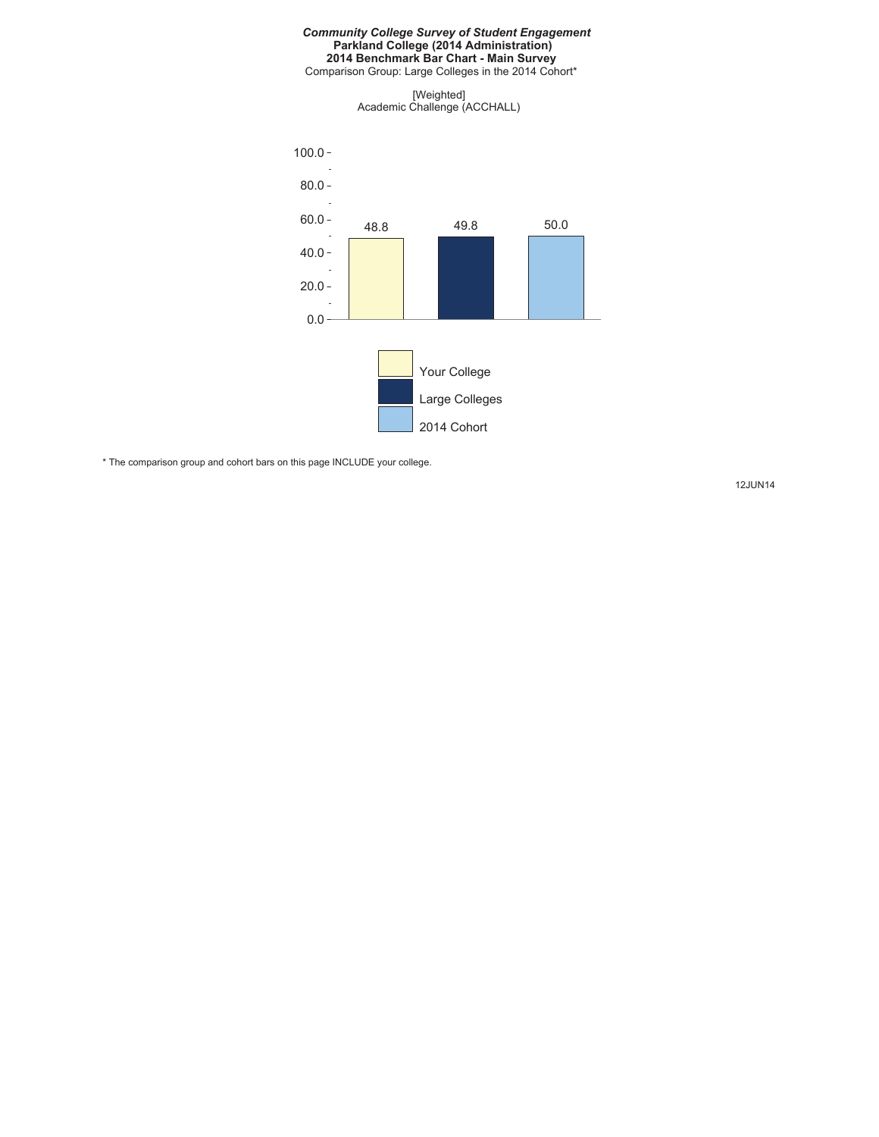#### *Community College Survey of Student Engagement* **Parkland College (2014 Administration) 2014 Benchmark Bar Chart - Main Survey**

Comparison Group: Large Colleges in the 2014 Cohort\*

[Weighted] Academic Challenge (ACCHALL)



\* The comparison group and cohort bars on this page INCLUDE your college.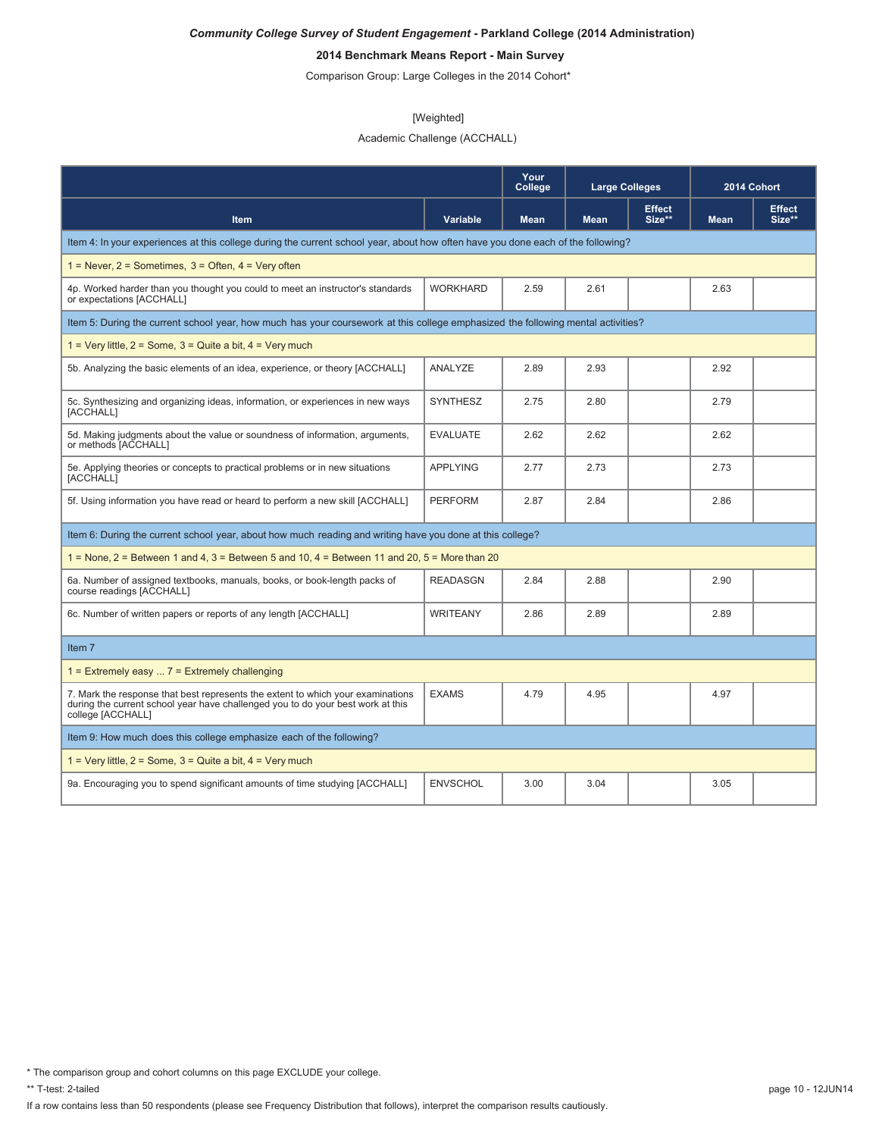# **2014 Benchmark Means Report - Main Survey**

Comparison Group: Large Colleges in the 2014 Cohort\*

#### [Weighted]

## Academic Challenge (ACCHALL)

|                                                                                                                                                                                         |                 | Your<br>College | <b>Large Colleges</b> |                         | 2014 Cohort |                         |
|-----------------------------------------------------------------------------------------------------------------------------------------------------------------------------------------|-----------------|-----------------|-----------------------|-------------------------|-------------|-------------------------|
| Item                                                                                                                                                                                    | Variable        | <b>Mean</b>     | <b>Mean</b>           | <b>Effect</b><br>Size** | <b>Mean</b> | <b>Effect</b><br>Size** |
| Item 4: In your experiences at this college during the current school year, about how often have you done each of the following?                                                        |                 |                 |                       |                         |             |                         |
| $1 =$ Never, $2 =$ Sometimes, $3 =$ Often, $4 =$ Very often                                                                                                                             |                 |                 |                       |                         |             |                         |
| 4p. Worked harder than you thought you could to meet an instructor's standards<br>or expectations [ACCHALL]                                                                             | <b>WORKHARD</b> | 2.59            | 2.61                  |                         | 2.63        |                         |
| Item 5: During the current school year, how much has your coursework at this college emphasized the following mental activities?                                                        |                 |                 |                       |                         |             |                         |
| $1 = \text{Very little}, 2 = \text{Some}, 3 = \text{Quite}$ a bit, $4 = \text{Very much}$                                                                                               |                 |                 |                       |                         |             |                         |
| 5b. Analyzing the basic elements of an idea, experience, or theory [ACCHALL]                                                                                                            | ANALYZE         | 2.89            | 2.93                  |                         | 2.92        |                         |
| 5c. Synthesizing and organizing ideas, information, or experiences in new ways<br>[ACCHALL]                                                                                             | <b>SYNTHESZ</b> | 2.75            | 2.80                  |                         | 2.79        |                         |
| 5d. Making judgments about the value or soundness of information, arguments,<br>or methods [ACCHALL]                                                                                    | <b>EVALUATE</b> | 2.62            | 2.62                  |                         | 2.62        |                         |
| 5e. Applying theories or concepts to practical problems or in new situations<br><b>[ACCHALL]</b>                                                                                        | <b>APPLYING</b> | 2.77            | 2.73                  |                         | 2.73        |                         |
| 5f. Using information you have read or heard to perform a new skill [ACCHALL]                                                                                                           | <b>PERFORM</b>  | 2.87            | 2.84                  |                         | 2.86        |                         |
| Item 6: During the current school year, about how much reading and writing have you done at this college?                                                                               |                 |                 |                       |                         |             |                         |
| $1 =$ None, $2 =$ Between 1 and 4, $3 =$ Between 5 and 10, $4 =$ Between 11 and 20, $5 =$ More than 20                                                                                  |                 |                 |                       |                         |             |                         |
| 6a. Number of assigned textbooks, manuals, books, or book-length packs of<br>course readings [ACCHALL]                                                                                  | <b>READASGN</b> | 2.84            | 2.88                  |                         | 2.90        |                         |
| 6c. Number of written papers or reports of any length [ACCHALL]                                                                                                                         | <b>WRITEANY</b> | 2.86            | 2.89                  |                         | 2.89        |                         |
| Item 7                                                                                                                                                                                  |                 |                 |                       |                         |             |                         |
| $1 =$ Extremely easy $7 =$ Extremely challenging                                                                                                                                        |                 |                 |                       |                         |             |                         |
| 7. Mark the response that best represents the extent to which your examinations<br>during the current school year have challenged you to do your best work at this<br>college [ACCHALL] | <b>EXAMS</b>    | 4.79            | 4.95                  |                         | 4.97        |                         |
| Item 9: How much does this college emphasize each of the following?                                                                                                                     |                 |                 |                       |                         |             |                         |
| $1 = \text{Very little}, 2 = \text{Some}, 3 = \text{Quite}$ a bit, $4 = \text{Very much}$                                                                                               |                 |                 |                       |                         |             |                         |
| 9a. Encouraging you to spend significant amounts of time studying [ACCHALL]                                                                                                             | <b>ENVSCHOL</b> | 3.00            | 3.04                  |                         | 3.05        |                         |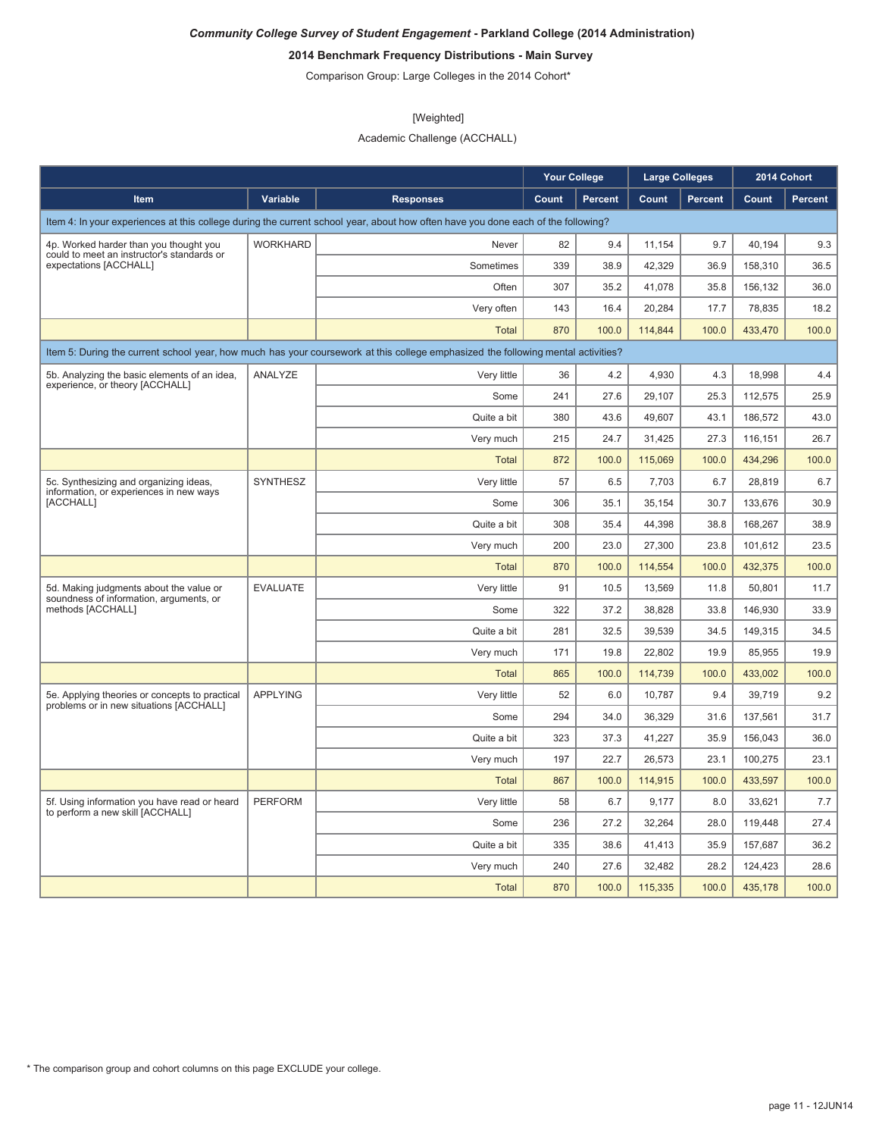# **2014 Benchmark Frequency Distributions - Main Survey**

Comparison Group: Large Colleges in the 2014 Cohort\*

#### [Weighted]

Academic Challenge (ACCHALL)

|                                                                                           |                                                                                                                                  |                                                                                                                                  | <b>Your College</b> |                | <b>Large Colleges</b> |                | 2014 Cohort |         |
|-------------------------------------------------------------------------------------------|----------------------------------------------------------------------------------------------------------------------------------|----------------------------------------------------------------------------------------------------------------------------------|---------------------|----------------|-----------------------|----------------|-------------|---------|
| Item                                                                                      | Variable                                                                                                                         | <b>Responses</b>                                                                                                                 | Count               | <b>Percent</b> | Count                 | <b>Percent</b> | Count       | Percent |
|                                                                                           |                                                                                                                                  | Item 4: In your experiences at this college during the current school year, about how often have you done each of the following? |                     |                |                       |                |             |         |
| 4p. Worked harder than you thought you                                                    | <b>WORKHARD</b>                                                                                                                  | Never                                                                                                                            | 82                  | 9.4            | 11,154                | 9.7            | 40,194      | 9.3     |
| could to meet an instructor's standards or<br>expectations [ACCHALL]                      |                                                                                                                                  | Sometimes                                                                                                                        | 339                 | 38.9           | 42.329                | 36.9           | 158,310     | 36.5    |
|                                                                                           |                                                                                                                                  | Often                                                                                                                            | 307                 | 35.2           | 41,078                | 35.8           | 156,132     | 36.0    |
|                                                                                           |                                                                                                                                  | Very often                                                                                                                       | 143                 | 16.4           | 20,284                | 17.7           | 78,835      | 18.2    |
|                                                                                           |                                                                                                                                  | <b>Total</b>                                                                                                                     | 870                 | 100.0          | 114,844               | 100.0          | 433,470     | 100.0   |
|                                                                                           | Item 5: During the current school year, how much has your coursework at this college emphasized the following mental activities? |                                                                                                                                  |                     |                |                       |                |             |         |
| 5b. Analyzing the basic elements of an idea,                                              | ANALYZE                                                                                                                          | Very little                                                                                                                      | 36                  | 4.2            | 4,930                 | 4.3            | 18,998      | 4.4     |
| experience, or theory [ACCHALL]                                                           |                                                                                                                                  | Some                                                                                                                             | 241                 | 27.6           | 29,107                | 25.3           | 112,575     | 25.9    |
|                                                                                           |                                                                                                                                  | Quite a bit                                                                                                                      | 380                 | 43.6           | 49,607                | 43.1           | 186,572     | 43.0    |
|                                                                                           |                                                                                                                                  | Very much                                                                                                                        | 215                 | 24.7           | 31,425                | 27.3           | 116,151     | 26.7    |
|                                                                                           |                                                                                                                                  | <b>Total</b>                                                                                                                     | 872                 | 100.0          | 115,069               | 100.0          | 434,296     | 100.0   |
| 5c. Synthesizing and organizing ideas,                                                    | SYNTHESZ                                                                                                                         | Very little                                                                                                                      | 57                  | 6.5            | 7,703                 | 6.7            | 28,819      | 6.7     |
| information, or experiences in new ways<br>[ACCHALL]                                      |                                                                                                                                  | Some                                                                                                                             | 306                 | 35.1           | 35.154                | 30.7           | 133.676     | 30.9    |
|                                                                                           |                                                                                                                                  | Quite a bit                                                                                                                      | 308                 | 35.4           | 44,398                | 38.8           | 168,267     | 38.9    |
|                                                                                           |                                                                                                                                  | Very much                                                                                                                        | 200                 | 23.0           | 27,300                | 23.8           | 101,612     | 23.5    |
|                                                                                           |                                                                                                                                  | <b>Total</b>                                                                                                                     | 870                 | 100.0          | 114,554               | 100.0          | 432,375     | 100.0   |
| 5d. Making judgments about the value or<br>soundness of information, arguments, or        | <b>EVALUATE</b>                                                                                                                  | Very little                                                                                                                      | 91                  | 10.5           | 13,569                | 11.8           | 50,801      | 11.7    |
| methods [ACCHALL]                                                                         |                                                                                                                                  | Some                                                                                                                             | 322                 | 37.2           | 38,828                | 33.8           | 146,930     | 33.9    |
|                                                                                           |                                                                                                                                  | Quite a bit                                                                                                                      | 281                 | 32.5           | 39,539                | 34.5           | 149,315     | 34.5    |
|                                                                                           |                                                                                                                                  | Very much                                                                                                                        | 171                 | 19.8           | 22,802                | 19.9           | 85,955      | 19.9    |
|                                                                                           |                                                                                                                                  | <b>Total</b>                                                                                                                     | 865                 | 100.0          | 114,739               | 100.0          | 433,002     | 100.0   |
| 5e. Applying theories or concepts to practical<br>problems or in new situations [ACCHALL] | <b>APPLYING</b>                                                                                                                  | Very little                                                                                                                      | 52                  | 6.0            | 10,787                | 9.4            | 39,719      | 9.2     |
|                                                                                           |                                                                                                                                  | Some                                                                                                                             | 294                 | 34.0           | 36,329                | 31.6           | 137,561     | 31.7    |
|                                                                                           |                                                                                                                                  | Quite a bit                                                                                                                      | 323                 | 37.3           | 41,227                | 35.9           | 156,043     | 36.0    |
|                                                                                           |                                                                                                                                  | Very much                                                                                                                        | 197                 | 22.7           | 26,573                | 23.1           | 100,275     | 23.1    |
|                                                                                           |                                                                                                                                  | Total                                                                                                                            | 867                 | 100.0          | 114,915               | 100.0          | 433,597     | 100.0   |
| 5f. Using information you have read or heard<br>to perform a new skill [ACCHALL]          | <b>PERFORM</b>                                                                                                                   | Very little                                                                                                                      | 58                  | 6.7            | 9,177                 | 8.0            | 33,621      | 7.7     |
|                                                                                           |                                                                                                                                  | Some                                                                                                                             | 236                 | 27.2           | 32,264                | 28.0           | 119,448     | 27.4    |
|                                                                                           |                                                                                                                                  | Quite a bit                                                                                                                      | 335                 | 38.6           | 41,413                | 35.9           | 157,687     | 36.2    |
|                                                                                           |                                                                                                                                  | Very much                                                                                                                        | 240                 | 27.6           | 32,482                | 28.2           | 124,423     | 28.6    |
|                                                                                           |                                                                                                                                  | <b>Total</b>                                                                                                                     | 870                 | 100.0          | 115,335               | 100.0          | 435,178     | 100.0   |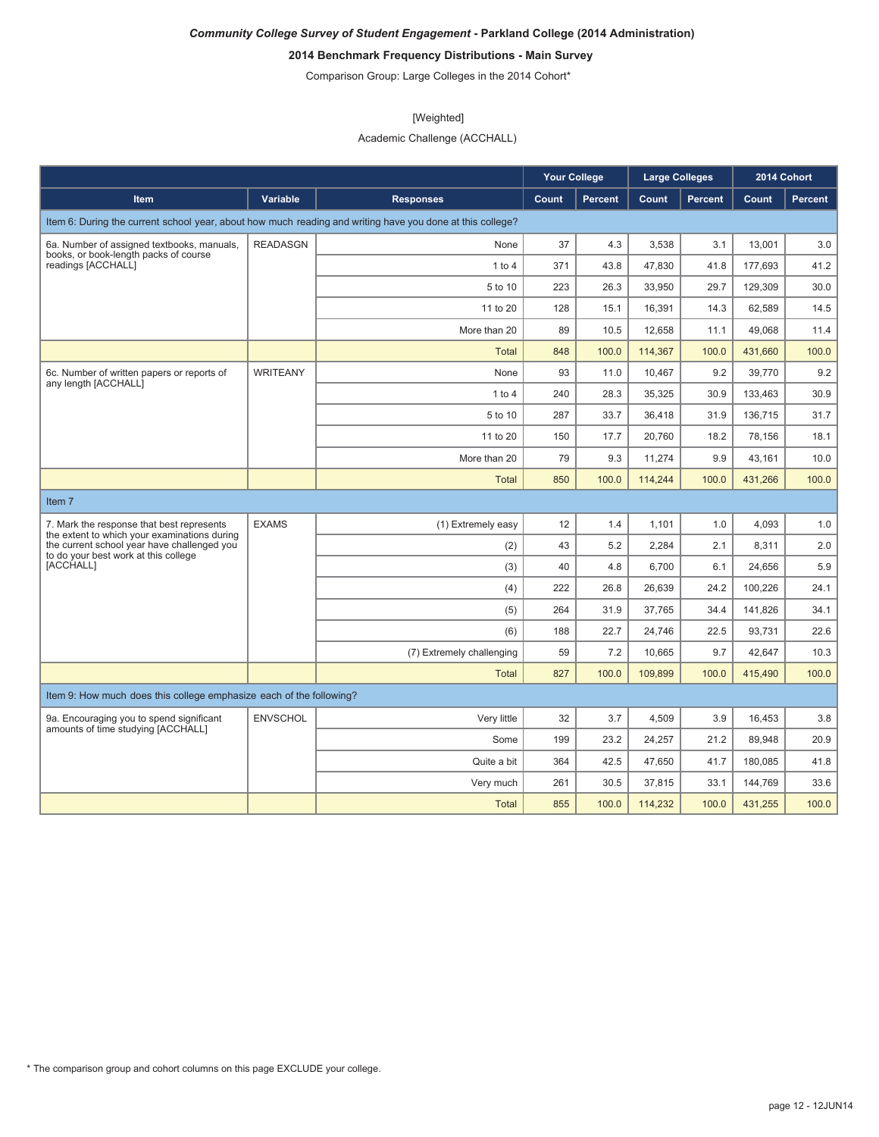# **2014 Benchmark Frequency Distributions - Main Survey**

Comparison Group: Large Colleges in the 2014 Cohort\*

#### [Weighted]

Academic Challenge (ACCHALL)

|                                                                                           |                 |                                                                                                           | <b>Your College</b> |                | <b>Large Colleges</b> |         |         | 2014 Cohort |
|-------------------------------------------------------------------------------------------|-----------------|-----------------------------------------------------------------------------------------------------------|---------------------|----------------|-----------------------|---------|---------|-------------|
| Item                                                                                      | Variable        | <b>Responses</b>                                                                                          | Count               | <b>Percent</b> | Count                 | Percent | Count   | Percent     |
|                                                                                           |                 | Item 6: During the current school year, about how much reading and writing have you done at this college? |                     |                |                       |         |         |             |
| 6a. Number of assigned textbooks, manuals,                                                | <b>READASGN</b> | None                                                                                                      | 37                  | 4.3            | 3,538                 | 3.1     | 13,001  | 3.0         |
| books, or book-length packs of course<br>readings [ACCHALL]                               |                 | 1 to 4                                                                                                    | 371                 | 43.8           | 47,830                | 41.8    | 177,693 | 41.2        |
|                                                                                           |                 | 5 to 10                                                                                                   | 223                 | 26.3           | 33,950                | 29.7    | 129,309 | 30.0        |
|                                                                                           |                 | 11 to 20                                                                                                  | 128                 | 15.1           | 16,391                | 14.3    | 62,589  | 14.5        |
|                                                                                           |                 | More than 20                                                                                              | 89                  | 10.5           | 12,658                | 11.1    | 49,068  | 11.4        |
|                                                                                           |                 | <b>Total</b>                                                                                              | 848                 | 100.0          | 114,367               | 100.0   | 431,660 | 100.0       |
| 6c. Number of written papers or reports of<br>any length [ACCHALL]                        | <b>WRITEANY</b> | None                                                                                                      | 93                  | 11.0           | 10.467                | 9.2     | 39,770  | 9.2         |
|                                                                                           |                 | 1 to 4                                                                                                    | 240                 | 28.3           | 35.325                | 30.9    | 133.463 | 30.9        |
|                                                                                           |                 | 5 to 10                                                                                                   | 287                 | 33.7           | 36,418                | 31.9    | 136,715 | 31.7        |
|                                                                                           |                 | 11 to 20                                                                                                  | 150                 | 17.7           | 20,760                | 18.2    | 78,156  | 18.1        |
|                                                                                           |                 | More than 20                                                                                              | 79                  | 9.3            | 11,274                | 9.9     | 43,161  | 10.0        |
|                                                                                           |                 | <b>Total</b>                                                                                              | 850                 | 100.0          | 114,244               | 100.0   | 431.266 | 100.0       |
| Item <sub>7</sub>                                                                         |                 |                                                                                                           |                     |                |                       |         |         |             |
| 7. Mark the response that best represents<br>the extent to which your examinations during | <b>EXAMS</b>    | (1) Extremely easy                                                                                        | 12                  | 1.4            | 1,101                 | 1.0     | 4,093   | 1.0         |
| the current school year have challenged you<br>to do your best work at this college       |                 | (2)                                                                                                       | 43                  | 5.2            | 2,284                 | 2.1     | 8,311   | 2.0         |
| [ACCHALL]                                                                                 |                 | (3)                                                                                                       | 40                  | 4.8            | 6,700                 | 6.1     | 24,656  | 5.9         |
|                                                                                           |                 | (4)                                                                                                       | 222                 | 26.8           | 26,639                | 24.2    | 100,226 | 24.1        |
|                                                                                           |                 | (5)                                                                                                       | 264                 | 31.9           | 37,765                | 34.4    | 141,826 | 34.1        |
|                                                                                           |                 | (6)                                                                                                       | 188                 | 22.7           | 24,746                | 22.5    | 93.731  | 22.6        |
|                                                                                           |                 | (7) Extremely challenging                                                                                 | 59                  | 7.2            | 10,665                | 9.7     | 42,647  | 10.3        |
|                                                                                           |                 | <b>Total</b>                                                                                              | 827                 | 100.0          | 109,899               | 100.0   | 415,490 | 100.0       |
| Item 9: How much does this college emphasize each of the following?                       |                 |                                                                                                           |                     |                |                       |         |         |             |
| 9a. Encouraging you to spend significant                                                  | <b>ENVSCHOL</b> | Very little                                                                                               | 32                  | 3.7            | 4,509                 | 3.9     | 16,453  | 3.8         |
| amounts of time studying [ACCHALL]                                                        |                 | Some                                                                                                      | 199                 | 23.2           | 24,257                | 21.2    | 89,948  | 20.9        |
|                                                                                           |                 | Quite a bit                                                                                               | 364                 | 42.5           | 47,650                | 41.7    | 180,085 | 41.8        |
|                                                                                           |                 | Very much                                                                                                 | 261                 | 30.5           | 37,815                | 33.1    | 144,769 | 33.6        |
|                                                                                           |                 | <b>Total</b>                                                                                              | 855                 | 100.0          | 114.232               | 100.0   | 431.255 | 100.0       |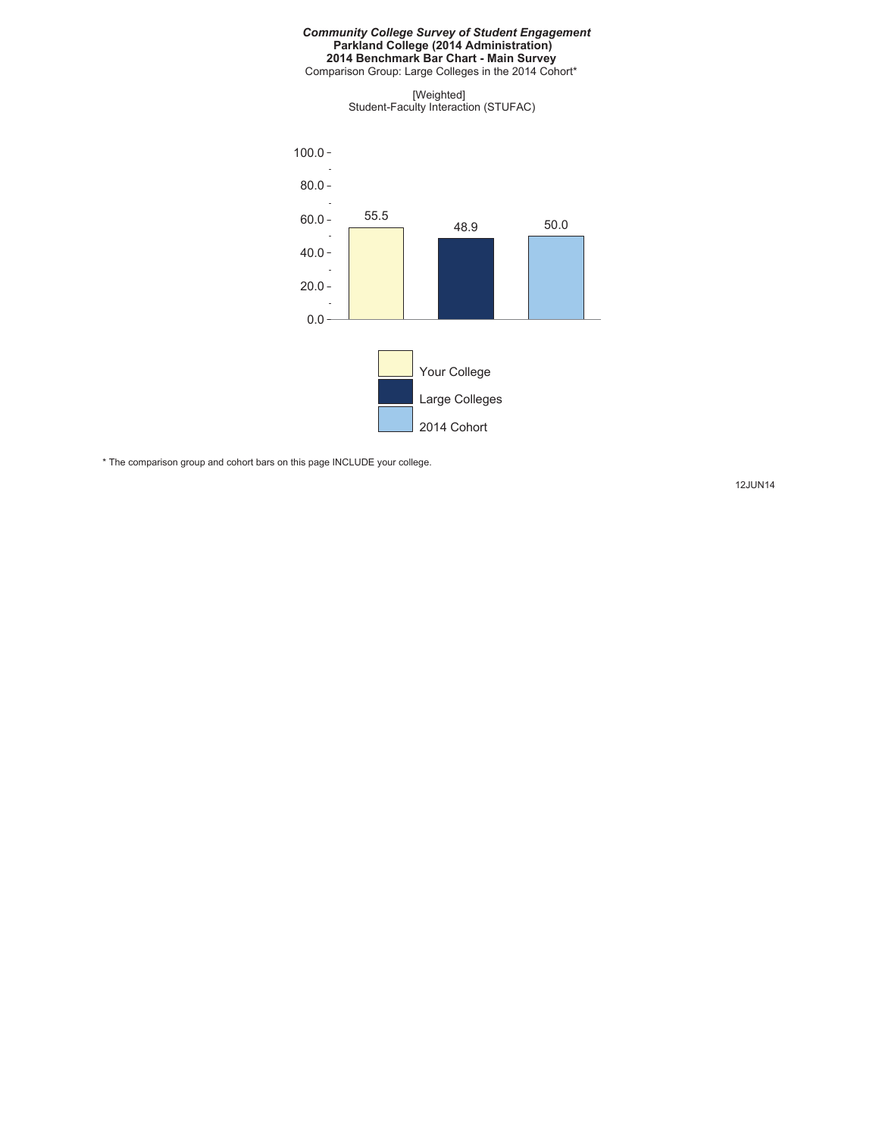#### *Community College Survey of Student Engagement* **Parkland College (2014 Administration) 2014 Benchmark Bar Chart - Main Survey** Comparison Group: Large Colleges in the 2014 Cohort\*

[Weighted]

Student-Faculty Interaction (STUFAC)



\* The comparison group and cohort bars on this page INCLUDE your college.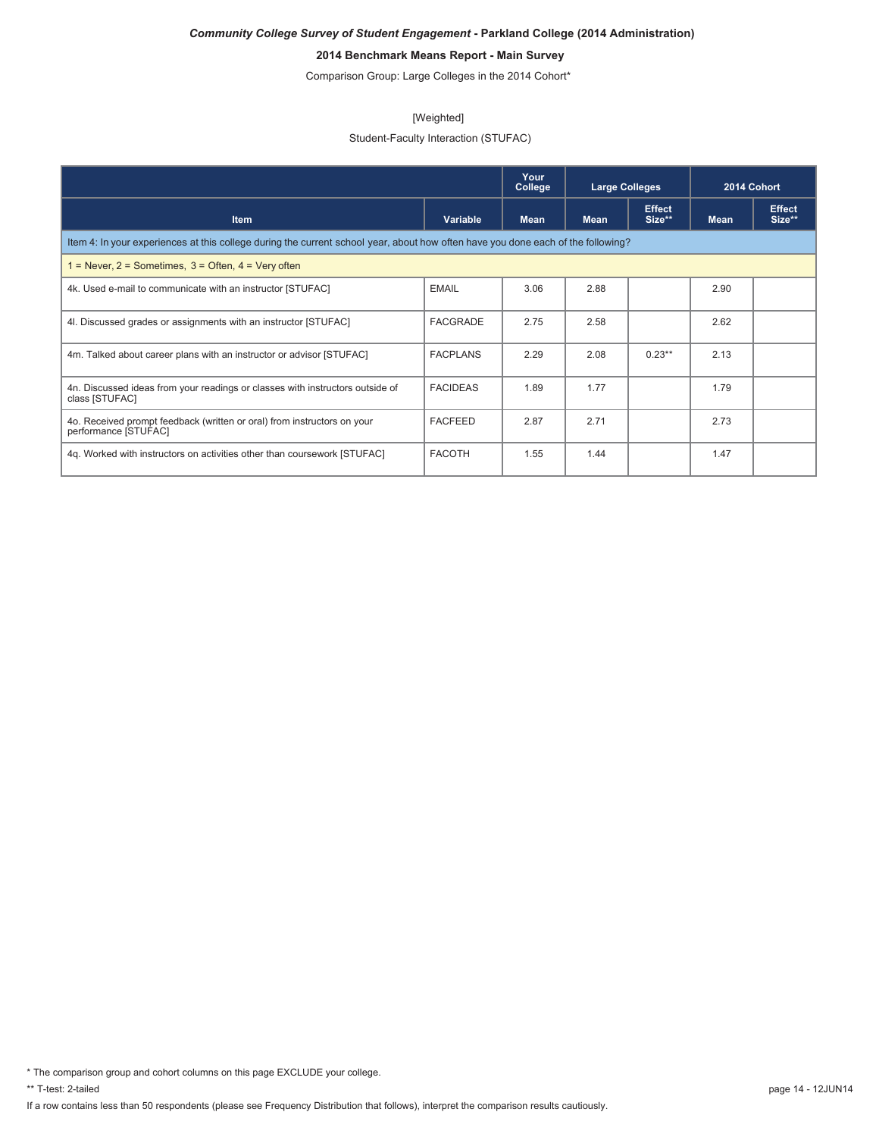# **2014 Benchmark Means Report - Main Survey**

Comparison Group: Large Colleges in the 2014 Cohort\*

#### [Weighted]

## Student-Faculty Interaction (STUFAC)

|                                                                                                                                  |                 | Your<br>College | <b>Large Colleges</b> |                         | 2014 Cohort |                         |  |  |
|----------------------------------------------------------------------------------------------------------------------------------|-----------------|-----------------|-----------------------|-------------------------|-------------|-------------------------|--|--|
| <b>Item</b>                                                                                                                      | Variable        | <b>Mean</b>     | <b>Mean</b>           | <b>Effect</b><br>Size** | <b>Mean</b> | <b>Effect</b><br>Size** |  |  |
| Item 4: In your experiences at this college during the current school year, about how often have you done each of the following? |                 |                 |                       |                         |             |                         |  |  |
| $1 =$ Never, $2 =$ Sometimes, $3 =$ Often, $4 =$ Very often                                                                      |                 |                 |                       |                         |             |                         |  |  |
| 4k. Used e-mail to communicate with an instructor [STUFAC]                                                                       | <b>EMAIL</b>    | 3.06            | 2.88                  |                         | 2.90        |                         |  |  |
| 4I. Discussed grades or assignments with an instructor [STUFAC]                                                                  | <b>FACGRADE</b> | 2.75            | 2.58                  |                         | 2.62        |                         |  |  |
| 4m. Talked about career plans with an instructor or advisor [STUFAC]                                                             | <b>FACPLANS</b> | 2.29            | 2.08                  | $0.23**$                | 2.13        |                         |  |  |
| 4n. Discussed ideas from your readings or classes with instructors outside of<br>class [STUFAC]                                  | <b>FACIDEAS</b> | 1.89            | 1.77                  |                         | 1.79        |                         |  |  |
| 4o. Received prompt feedback (written or oral) from instructors on your<br>performance [STUFAC]                                  | <b>FACFEED</b>  | 2.87            | 2.71                  |                         | 2.73        |                         |  |  |
| 4q. Worked with instructors on activities other than coursework [STUFAC]                                                         | <b>FACOTH</b>   | 1.55            | 1.44                  |                         | 1.47        |                         |  |  |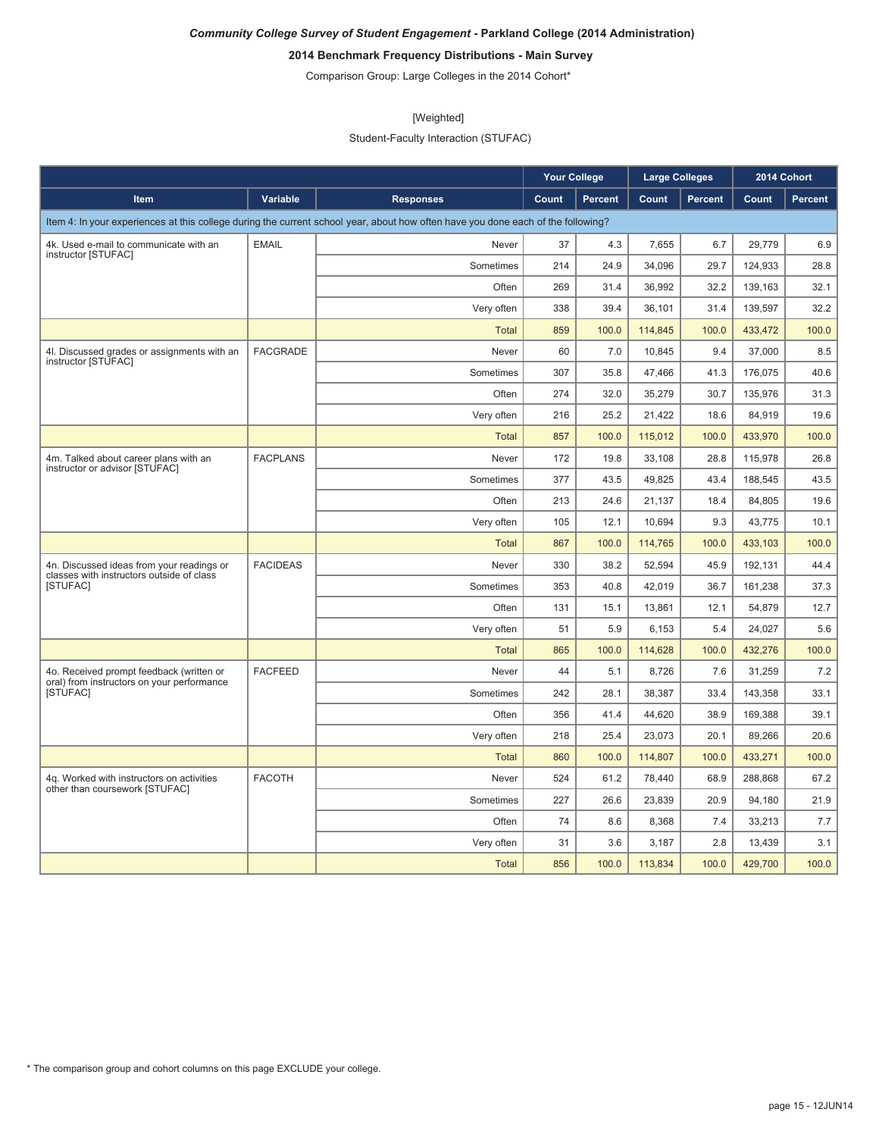# **2014 Benchmark Frequency Distributions - Main Survey**

Comparison Group: Large Colleges in the 2014 Cohort\*

#### [Weighted]

Student-Faculty Interaction (STUFAC)

|                                                                                        |                 |                                                                                                                                  | <b>Your College</b> |                | <b>Large Colleges</b> |         | 2014 Cohort |         |
|----------------------------------------------------------------------------------------|-----------------|----------------------------------------------------------------------------------------------------------------------------------|---------------------|----------------|-----------------------|---------|-------------|---------|
| Item                                                                                   | Variable        | <b>Responses</b>                                                                                                                 | Count               | <b>Percent</b> | Count                 | Percent | Count       | Percent |
|                                                                                        |                 | Item 4: In your experiences at this college during the current school year, about how often have you done each of the following? |                     |                |                       |         |             |         |
| 4k. Used e-mail to communicate with an                                                 | <b>EMAIL</b>    | Never                                                                                                                            | 37                  | 4.3            | 7,655                 | 6.7     | 29,779      | 6.9     |
| instructor [STUFAC]                                                                    |                 | Sometimes                                                                                                                        | 214                 | 24.9           | 34,096                | 29.7    | 124,933     | 28.8    |
|                                                                                        |                 | Often                                                                                                                            | 269                 | 31.4           | 36,992                | 32.2    | 139,163     | 32.1    |
|                                                                                        |                 | Very often                                                                                                                       | 338                 | 39.4           | 36,101                | 31.4    | 139,597     | 32.2    |
|                                                                                        |                 | <b>Total</b>                                                                                                                     | 859                 | 100.0          | 114,845               | 100.0   | 433,472     | 100.0   |
| 4l. Discussed grades or assignments with an<br>instructor [STUFAC]                     | <b>FACGRADE</b> | Never                                                                                                                            | 60                  | 7.0            | 10,845                | 9.4     | 37,000      | 8.5     |
|                                                                                        |                 | Sometimes                                                                                                                        | 307                 | 35.8           | 47,466                | 41.3    | 176,075     | 40.6    |
|                                                                                        |                 | Often                                                                                                                            | 274                 | 32.0           | 35,279                | 30.7    | 135,976     | 31.3    |
|                                                                                        |                 | Very often                                                                                                                       | 216                 | 25.2           | 21,422                | 18.6    | 84,919      | 19.6    |
|                                                                                        |                 | <b>Total</b>                                                                                                                     | 857                 | 100.0          | 115,012               | 100.0   | 433,970     | 100.0   |
| 4m. Talked about career plans with an                                                  | <b>FACPLANS</b> | Never                                                                                                                            | 172                 | 19.8           | 33,108                | 28.8    | 115,978     | 26.8    |
| instructor or advisor [STUFAC]                                                         |                 | Sometimes                                                                                                                        | 377                 | 43.5           | 49.825                | 43.4    | 188.545     | 43.5    |
|                                                                                        |                 | Often                                                                                                                            | 213                 | 24.6           | 21,137                | 18.4    | 84,805      | 19.6    |
|                                                                                        |                 | Very often                                                                                                                       | 105                 | 12.1           | 10.694                | 9.3     | 43.775      | 10.1    |
|                                                                                        |                 | <b>Total</b>                                                                                                                     | 867                 | 100.0          | 114,765               | 100.0   | 433,103     | 100.0   |
| 4n. Discussed ideas from your readings or<br>classes with instructors outside of class | <b>FACIDEAS</b> | Never                                                                                                                            | 330                 | 38.2           | 52,594                | 45.9    | 192,131     | 44.4    |
| [STUFAC]                                                                               |                 | Sometimes                                                                                                                        | 353                 | 40.8           | 42,019                | 36.7    | 161,238     | 37.3    |
|                                                                                        |                 | Often                                                                                                                            | 131                 | 15.1           | 13,861                | 12.1    | 54,879      | 12.7    |
|                                                                                        |                 | Very often                                                                                                                       | 51                  | 5.9            | 6,153                 | 5.4     | 24,027      | 5.6     |
|                                                                                        |                 | <b>Total</b>                                                                                                                     | 865                 | 100.0          | 114,628               | 100.0   | 432,276     | 100.0   |
| 4o. Received prompt feedback (written or                                               | <b>FACFEED</b>  | Never                                                                                                                            | 44                  | 5.1            | 8,726                 | 7.6     | 31,259      | 7.2     |
| oral) from instructors on your performance<br><b>ISTUFACI</b>                          |                 | Sometimes                                                                                                                        | 242                 | 28.1           | 38,387                | 33.4    | 143,358     | 33.1    |
|                                                                                        |                 | Often                                                                                                                            | 356                 | 41.4           | 44,620                | 38.9    | 169,388     | 39.1    |
|                                                                                        |                 | Very often                                                                                                                       | 218                 | 25.4           | 23,073                | 20.1    | 89,266      | 20.6    |
|                                                                                        |                 | <b>Total</b>                                                                                                                     | 860                 | 100.0          | 114,807               | 100.0   | 433,271     | 100.0   |
| 4q. Worked with instructors on activities                                              | <b>FACOTH</b>   | Never                                                                                                                            | 524                 | 61.2           | 78,440                | 68.9    | 288,868     | 67.2    |
| other than coursework [STUFAC]                                                         |                 | Sometimes                                                                                                                        | 227                 | 26.6           | 23,839                | 20.9    | 94,180      | 21.9    |
|                                                                                        |                 | Often                                                                                                                            | 74                  | 8.6            | 8,368                 | 7.4     | 33,213      | 7.7     |
|                                                                                        |                 | Very often                                                                                                                       | 31                  | 3.6            | 3.187                 | 2.8     | 13,439      | 3.1     |
|                                                                                        |                 | <b>Total</b>                                                                                                                     | 856                 | 100.0          | 113,834               | 100.0   | 429,700     | 100.0   |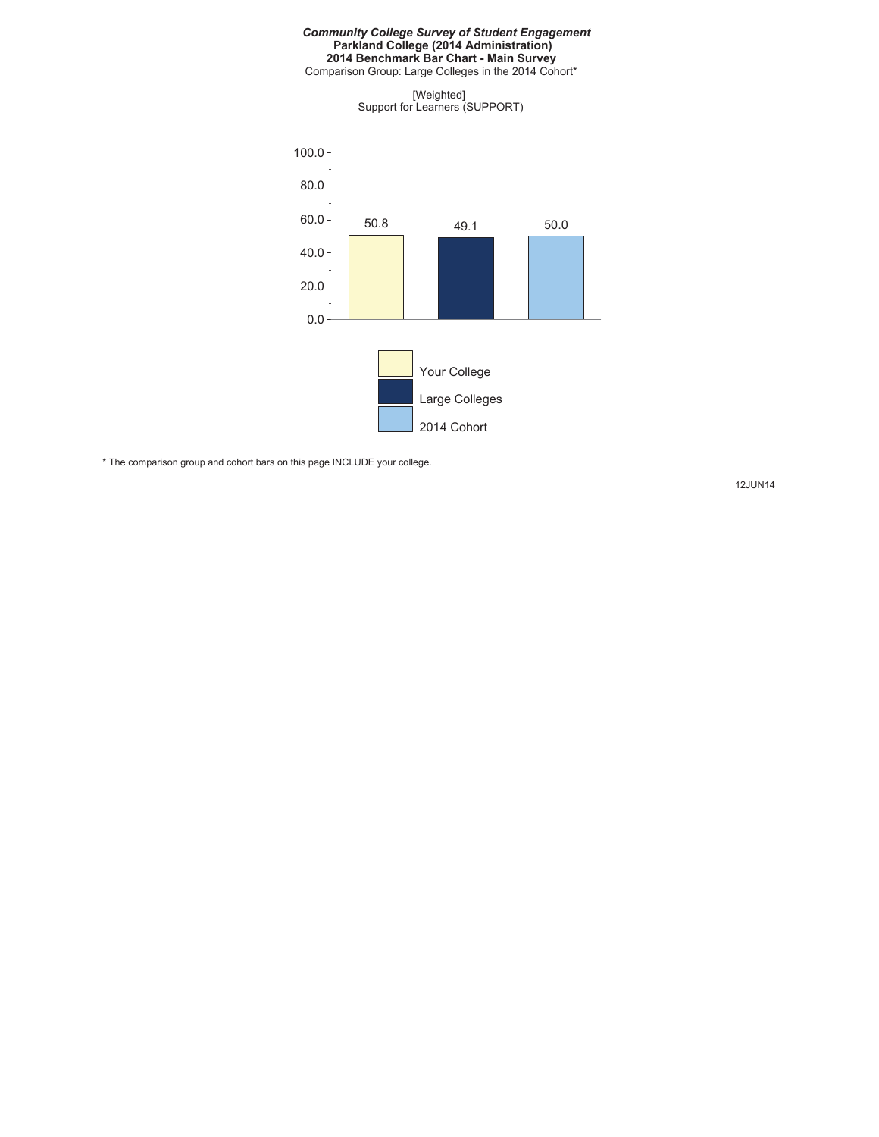#### *Community College Survey of Student Engagement* **Parkland College (2014 Administration) 2014 Benchmark Bar Chart - Main Survey**

Comparison Group: Large Colleges in the 2014 Cohort\*

[Weighted] Support for Learners (SUPPORT)



\* The comparison group and cohort bars on this page INCLUDE your college.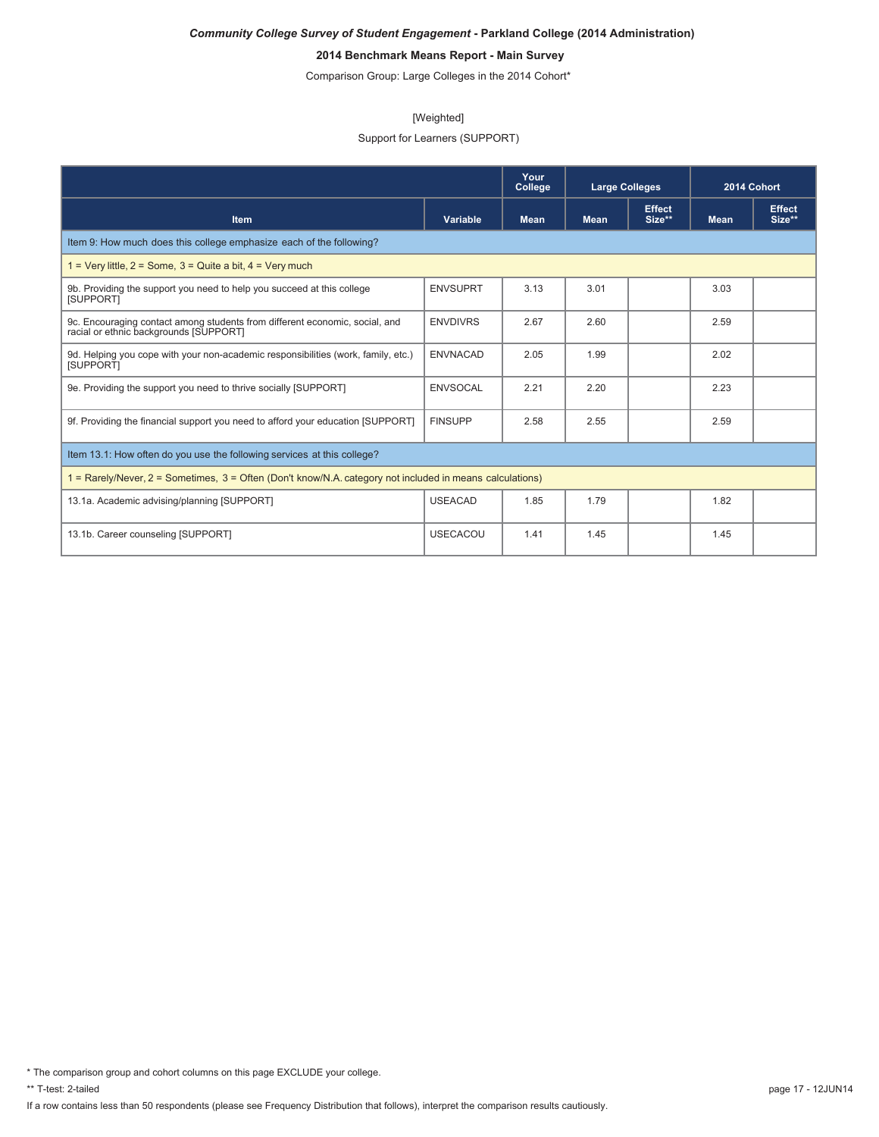# **2014 Benchmark Means Report - Main Survey**

Comparison Group: Large Colleges in the 2014 Cohort\*

#### [Weighted]

## Support for Learners (SUPPORT)

|                                                                                                                       |                                        | Your<br>College | <b>Large Colleges</b> |                         | 2014 Cohort |                         |
|-----------------------------------------------------------------------------------------------------------------------|----------------------------------------|-----------------|-----------------------|-------------------------|-------------|-------------------------|
| Item                                                                                                                  | Variable<br><b>Mean</b><br><b>Mean</b> |                 |                       | <b>Effect</b><br>Size** | <b>Mean</b> | <b>Effect</b><br>Size** |
| Item 9: How much does this college emphasize each of the following?                                                   |                                        |                 |                       |                         |             |                         |
| $1 = \text{Very little}, 2 = \text{Some}, 3 = \text{Quite}$ a bit, $4 = \text{Very much}$                             |                                        |                 |                       |                         |             |                         |
| 9b. Providing the support you need to help you succeed at this college<br>[SUPPORT]                                   | <b>ENVSUPRT</b>                        | 3.13            | 3.01                  |                         | 3.03        |                         |
| 9c. Encouraging contact among students from different economic, social, and<br>racial or ethnic backgrounds [SUPPORT] | <b>ENVDIVRS</b>                        | 2.67            | 2.60                  |                         | 2.59        |                         |
| 9d. Helping you cope with your non-academic responsibilities (work, family, etc.)<br>[SUPPORT]                        | <b>ENVNACAD</b>                        | 2.05            | 1.99                  |                         | 2.02        |                         |
| 9e. Providing the support you need to thrive socially [SUPPORT]                                                       | <b>ENVSOCAL</b>                        | 2.21            | 2.20                  |                         | 2.23        |                         |
| 9f. Providing the financial support you need to afford your education [SUPPORT]                                       | <b>FINSUPP</b>                         | 2.58            | 2.55                  |                         | 2.59        |                         |
| Item 13.1: How often do you use the following services at this college?                                               |                                        |                 |                       |                         |             |                         |
| 1 = Rarely/Never, 2 = Sometimes, 3 = Often (Don't know/N.A. category not included in means calculations)              |                                        |                 |                       |                         |             |                         |
| 13.1a. Academic advising/planning [SUPPORT]                                                                           | <b>USEACAD</b>                         | 1.85            | 1.79                  |                         | 1.82        |                         |
| 13.1b. Career counseling [SUPPORT]                                                                                    | <b>USECACOU</b>                        | 1.41            | 1.45                  |                         | 1.45        |                         |